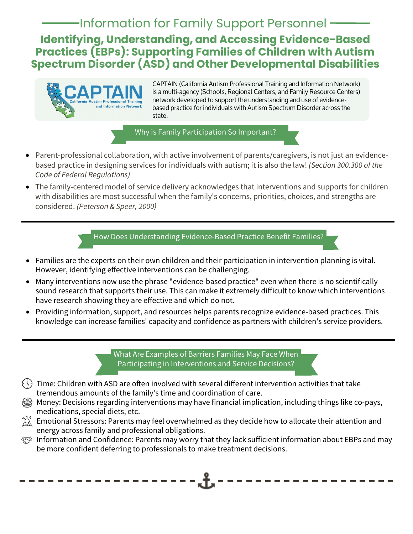## Information for Family Support Personnel

**Identifying, Understanding, and Accessing Evidence-Based Practices (EBPs): Supporting Families of Children with Autism Spectrum Disorder (ASD) and Other Developmental Disabilities** 



CAPTAIN (California Autism Professional Training and Information Network) is a multi-agency (Schools, Regional Centers, and Family Resource Centers) network developed to support the understanding and use of evidencebased practice for individuals with Autism Spectrum Disorder across the state.

Why is Family Participation So Important?

- Parent-professional collaboration, with active involvement of parents/caregivers, is not just an evidencebased practice in designing services for individuals with autism; it is also the law! (Section 300.300 of the Code of Federal Regulations)
- The family-centered model of service delivery acknowledges that interventions and supports for children with disabilities are most successful when the family's concerns, priorities, choices, and strengths are considered. (Peterson & Speer, 2000)

How Does Understanding Evidence-Based Practice Benefit Families?

- Families are the experts on their own children and their participation in intervention planning is vital. However, identifying effective interventions can be challenging.
- Many interventions now use the phrase "evidence-based practice" even when there is no scientifically sound research that supports their use. This can make it extremely difficult to know which interventions have research showing they are effective and which do not.
- Providing information, support, and resources helps parents recognize evidence-based practices. This knowledge can increase families' capacity and confidence as partners with children's service providers.

What Are Examples of Barriers Families May Face When Participating in Interventions and Service Decisions?

- $\binom{1}{2}$  Time: Children with ASD are often involved with several different intervention activities that take tremendous amounts of the family's time and coordination of care.
- Money: Decisions regarding interventions may have financial implication, including things like co-pays, medications, special diets, etc.
- $\hat{\;}$   $\!\hat{\;}$   $\!\hat{\;}$  Emotional Stressors: Parents may feel overwhelmed as they decide how to allocate their attention and energy across family and professional obligations.
- $\otimes$  Information and Confidence: Parents may worry that they lack sufficient information about EBPs and may be more confident deferring to professionals to make treatment decisions.